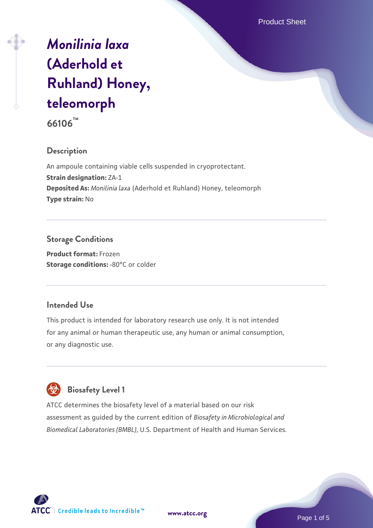Product Sheet

# *[Monilinia laxa](https://www.atcc.org/products/66106)* **[\(Aderhold et](https://www.atcc.org/products/66106) [Ruhland\) Honey,](https://www.atcc.org/products/66106) [teleomorph](https://www.atcc.org/products/66106)**

**66106™**

# **Description**

An ampoule containing viable cells suspended in cryoprotectant. **Strain designation:** ZA-1 **Deposited As:** *Monilinia laxa* (Aderhold et Ruhland) Honey, teleomorph **Type strain:** No

# **Storage Conditions**

**Product format:** Frozen **Storage conditions: -80°C or colder** 

# **Intended Use**

This product is intended for laboratory research use only. It is not intended for any animal or human therapeutic use, any human or animal consumption, or any diagnostic use.

# **Biosafety Level 1**

ATCC determines the biosafety level of a material based on our risk assessment as guided by the current edition of *Biosafety in Microbiological and Biomedical Laboratories (BMBL)*, U.S. Department of Health and Human Services.

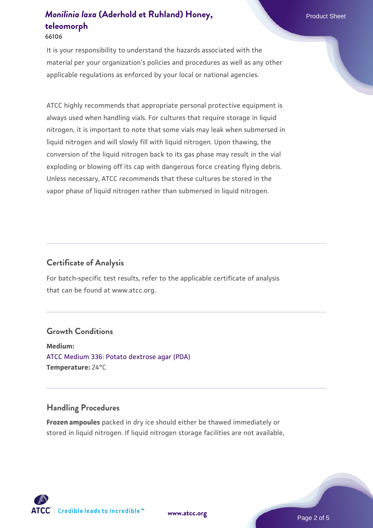#### **66106**

It is your responsibility to understand the hazards associated with the material per your organization's policies and procedures as well as any other applicable regulations as enforced by your local or national agencies.

ATCC highly recommends that appropriate personal protective equipment is always used when handling vials. For cultures that require storage in liquid nitrogen, it is important to note that some vials may leak when submersed in liquid nitrogen and will slowly fill with liquid nitrogen. Upon thawing, the conversion of the liquid nitrogen back to its gas phase may result in the vial exploding or blowing off its cap with dangerous force creating flying debris. Unless necessary, ATCC recommends that these cultures be stored in the vapor phase of liquid nitrogen rather than submersed in liquid nitrogen.

### **Certificate of Analysis**

For batch-specific test results, refer to the applicable certificate of analysis that can be found at www.atcc.org.

### **Growth Conditions**

**Medium:**  [ATCC Medium 336: Potato dextrose agar \(PDA\)](https://www.atcc.org/-/media/product-assets/documents/microbial-media-formulations/3/3/6/atcc-medium-336.pdf?rev=d9160ad44d934cd8b65175461abbf3b9) **Temperature:** 24°C

#### **Handling Procedures**

**Frozen ampoules** packed in dry ice should either be thawed immediately or stored in liquid nitrogen. If liquid nitrogen storage facilities are not available,

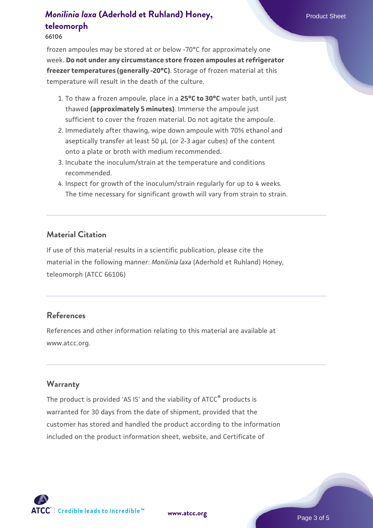#### **66106**

frozen ampoules may be stored at or below -70°C for approximately one week. **Do not under any circumstance store frozen ampoules at refrigerator freezer temperatures (generally -20°C)**. Storage of frozen material at this temperature will result in the death of the culture.

- 1. To thaw a frozen ampoule, place in a **25°C to 30°C** water bath, until just thawed **(approximately 5 minutes)**. Immerse the ampoule just sufficient to cover the frozen material. Do not agitate the ampoule.
- 2. Immediately after thawing, wipe down ampoule with 70% ethanol and aseptically transfer at least 50 µL (or 2-3 agar cubes) of the content onto a plate or broth with medium recommended.
- 3. Incubate the inoculum/strain at the temperature and conditions recommended.
- 4. Inspect for growth of the inoculum/strain regularly for up to 4 weeks. The time necessary for significant growth will vary from strain to strain.

#### **Material Citation**

If use of this material results in a scientific publication, please cite the material in the following manner: *Monilinia laxa* (Aderhold et Ruhland) Honey, teleomorph (ATCC 66106)

### **References**

References and other information relating to this material are available at www.atcc.org.

### **Warranty**

The product is provided 'AS IS' and the viability of ATCC® products is warranted for 30 days from the date of shipment, provided that the customer has stored and handled the product according to the information included on the product information sheet, website, and Certificate of

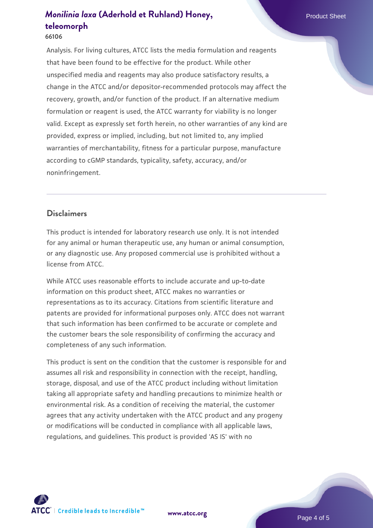#### **66106**

Analysis. For living cultures, ATCC lists the media formulation and reagents that have been found to be effective for the product. While other unspecified media and reagents may also produce satisfactory results, a change in the ATCC and/or depositor-recommended protocols may affect the recovery, growth, and/or function of the product. If an alternative medium formulation or reagent is used, the ATCC warranty for viability is no longer valid. Except as expressly set forth herein, no other warranties of any kind are provided, express or implied, including, but not limited to, any implied warranties of merchantability, fitness for a particular purpose, manufacture according to cGMP standards, typicality, safety, accuracy, and/or noninfringement.

### **Disclaimers**

This product is intended for laboratory research use only. It is not intended for any animal or human therapeutic use, any human or animal consumption, or any diagnostic use. Any proposed commercial use is prohibited without a license from ATCC.

While ATCC uses reasonable efforts to include accurate and up-to-date information on this product sheet, ATCC makes no warranties or representations as to its accuracy. Citations from scientific literature and patents are provided for informational purposes only. ATCC does not warrant that such information has been confirmed to be accurate or complete and the customer bears the sole responsibility of confirming the accuracy and completeness of any such information.

This product is sent on the condition that the customer is responsible for and assumes all risk and responsibility in connection with the receipt, handling, storage, disposal, and use of the ATCC product including without limitation taking all appropriate safety and handling precautions to minimize health or environmental risk. As a condition of receiving the material, the customer agrees that any activity undertaken with the ATCC product and any progeny or modifications will be conducted in compliance with all applicable laws, regulations, and guidelines. This product is provided 'AS IS' with no



**[www.atcc.org](http://www.atcc.org)**

Page 4 of 5